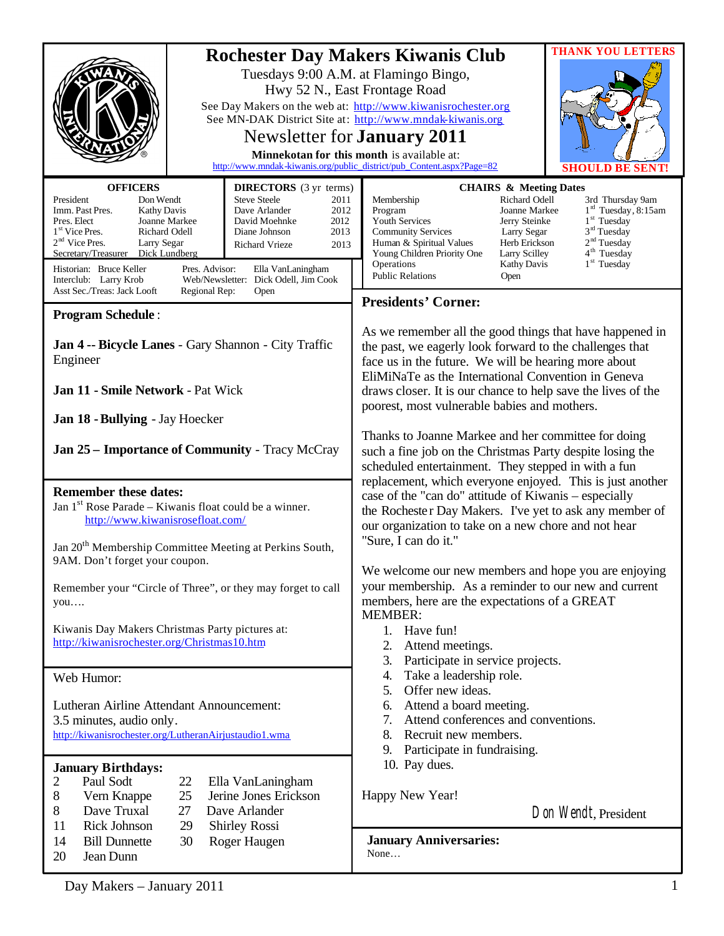|                                                                                                                                                                                                                                                                                                                                                                                                                                                                                                                                                                                                                                                                                                                                                                                                                                                                                                                                                                                                                                                                                                          | <b>THANK YOU LETTERS</b><br><b>Rochester Day Makers Kiwanis Club</b><br>Tuesdays 9:00 A.M. at Flamingo Bingo,<br>Hwy 52 N., East Frontage Road<br>See Day Makers on the web at: http://www.kiwanisrochester.org<br>See MN-DAK District Site at: http://www.mndak-kiwanis.org<br>Newsletter for <b>January</b> 2011<br>Minnekotan for this month is available at:<br>http://www.mndak-kiwanis.org/public_district/pub_Content.aspx?Page=82<br>SHOU<br>.D BE |                                                                                                                                                                                                                                                                                                                                                                                                                                                                                                                                                                                                                                                                                                                                                                                    |  |
|----------------------------------------------------------------------------------------------------------------------------------------------------------------------------------------------------------------------------------------------------------------------------------------------------------------------------------------------------------------------------------------------------------------------------------------------------------------------------------------------------------------------------------------------------------------------------------------------------------------------------------------------------------------------------------------------------------------------------------------------------------------------------------------------------------------------------------------------------------------------------------------------------------------------------------------------------------------------------------------------------------------------------------------------------------------------------------------------------------|------------------------------------------------------------------------------------------------------------------------------------------------------------------------------------------------------------------------------------------------------------------------------------------------------------------------------------------------------------------------------------------------------------------------------------------------------------|------------------------------------------------------------------------------------------------------------------------------------------------------------------------------------------------------------------------------------------------------------------------------------------------------------------------------------------------------------------------------------------------------------------------------------------------------------------------------------------------------------------------------------------------------------------------------------------------------------------------------------------------------------------------------------------------------------------------------------------------------------------------------------|--|
| <b>OFFICERS</b><br><b>DIRECTORS</b> (3 yr terms)<br>President<br><b>Steve Steele</b><br>Don Wendt<br>Imm. Past Pres.<br>Dave Arlander<br><b>Kathy Davis</b><br>Pres. Elect<br>Joanne Markee<br>David Moehnke<br>1 <sup>st</sup> Vice Pres.<br>Richard Odell<br>Diane Johnson<br>$2nd$ Vice Pres.<br>Larry Segar<br><b>Richard Vrieze</b><br>Secretary/Treasurer<br>Dick Lundberg<br>Historian: Bruce Keller<br>Pres. Advisor:<br>Ella VanLaningham<br>Web/Newsletter: Dick Odell, Jim Cook<br>Interclub: Larry Krob<br>Asst Sec./Treas: Jack Looft<br>Regional Rep:<br>Open                                                                                                                                                                                                                                                                                                                                                                                                                                                                                                                              | 2011<br>2012<br>2012<br>2013<br>2013                                                                                                                                                                                                                                                                                                                                                                                                                       | <b>CHAIRS &amp; Meeting Dates</b><br>Membership<br>Richard Odell<br>3rd Thursday 9am<br>1 <sup>rd</sup> Tuesday, 8:15am<br>Program<br>Joanne Markee<br>1 <sup>st</sup> Tuesday<br>Youth Services<br>Jerry Steinke<br>3 <sup>rd</sup> Tuesday<br><b>Community Services</b><br>Larry Segar<br>2 <sup>nd</sup> Tuesday<br>Herb Erickson<br>Human & Spiritual Values<br>4 <sup>th</sup> Tuesday<br>Young Children Priority One<br>Larry Scilley<br>$1st$ Tuesday<br>Operations<br><b>Kathy Davis</b><br><b>Public Relations</b><br>Open<br><b>Presidents' Corner:</b>                                                                                                                                                                                                                  |  |
| <b>Program Schedule:</b><br>Jan 4 -- Bicycle Lanes - Gary Shannon - City Traffic<br>Engineer<br>Jan 11 - Smile Network - Pat Wick<br>Jan 18 - Bullying - Jay Hoecker<br><b>Jan 25 – Importance of Community - Tracy McCray</b><br><b>Remember these dates:</b><br>Jan $1st$ Rose Parade – Kiwanis float could be a winner.<br>http://www.kiwanisrosefloat.com/<br>Jan 20 <sup>th</sup> Membership Committee Meeting at Perkins South,<br>9AM. Don't forget your coupon.<br>Remember your "Circle of Three", or they may forget to call<br>you<br>Kiwanis Day Makers Christmas Party pictures at:<br>http://kiwanisrochester.org/Christmas10.htm<br>Web Humor:<br>Lutheran Airline Attendant Announcement:<br>3.5 minutes, audio only.<br>http://kiwanisrochester.org/LutheranAirjustaudio1.wma<br><b>January Birthdays:</b><br>2<br>Paul Sodt<br>22<br>Ella VanLaningham<br>8<br>Jerine Jones Erickson<br>Vern Knappe<br>25<br>Dave Truxal<br>8<br>27<br>Dave Arlander<br><b>Rick Johnson</b><br>11<br>29<br><b>Shirley Rossi</b><br>14<br><b>Bill Dunnette</b><br>30<br>Roger Haugen<br>20<br>Jean Dunn |                                                                                                                                                                                                                                                                                                                                                                                                                                                            | As we remember all the good things that have happened in<br>the past, we eagerly look forward to the challenges that<br>face us in the future. We will be hearing more about<br>EliMiNaTe as the International Convention in Geneva<br>draws closer. It is our chance to help save the lives of the<br>poorest, most vulnerable babies and mothers.<br>Thanks to Joanne Markee and her committee for doing<br>such a fine job on the Christmas Party despite losing the<br>scheduled entertainment. They stepped in with a fun                                                                                                                                                                                                                                                     |  |
|                                                                                                                                                                                                                                                                                                                                                                                                                                                                                                                                                                                                                                                                                                                                                                                                                                                                                                                                                                                                                                                                                                          |                                                                                                                                                                                                                                                                                                                                                                                                                                                            | replacement, which everyone enjoyed. This is just another<br>case of the "can do" attitude of Kiwanis – especially<br>the Rochester Day Makers. I've yet to ask any member of<br>our organization to take on a new chore and not hear<br>"Sure, I can do it."<br>We welcome our new members and hope you are enjoying<br>your membership. As a reminder to our new and current<br>members, here are the expectations of a GREAT<br><b>MEMBER:</b><br>1.<br>Have fun!<br>2.<br>Attend meetings.<br>3.<br>Participate in service projects.<br>Take a leadership role.<br>4.<br>Offer new ideas.<br>5.<br>Attend a board meeting.<br>6.<br>7.<br>Attend conferences and conventions.<br>8. Recruit new members.<br>9. Participate in fundraising.<br>10. Pay dues.<br>Happy New Year! |  |
|                                                                                                                                                                                                                                                                                                                                                                                                                                                                                                                                                                                                                                                                                                                                                                                                                                                                                                                                                                                                                                                                                                          |                                                                                                                                                                                                                                                                                                                                                                                                                                                            |                                                                                                                                                                                                                                                                                                                                                                                                                                                                                                                                                                                                                                                                                                                                                                                    |  |
|                                                                                                                                                                                                                                                                                                                                                                                                                                                                                                                                                                                                                                                                                                                                                                                                                                                                                                                                                                                                                                                                                                          |                                                                                                                                                                                                                                                                                                                                                                                                                                                            | Day Makers - January 2011                                                                                                                                                                                                                                                                                                                                                                                                                                                                                                                                                                                                                                                                                                                                                          |  |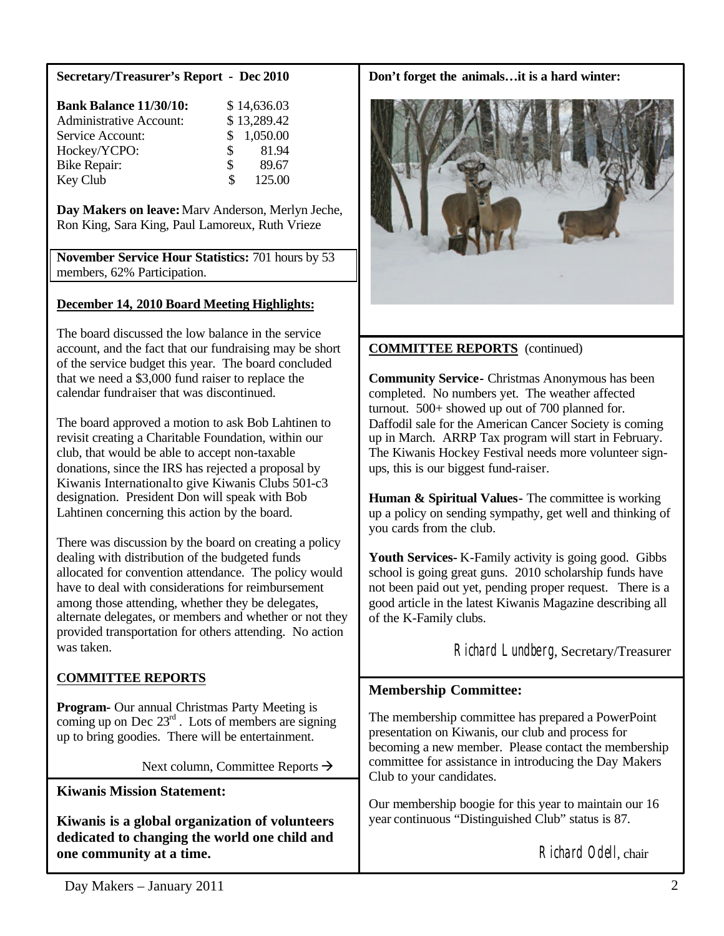## **Secretary/Treasurer's Report - Dec 2010**

| <b>Bank Balance 11/30/10:</b>  |     | \$14,636.03 |
|--------------------------------|-----|-------------|
| <b>Administrative Account:</b> |     | \$13,289.42 |
| Service Account:               |     | \$1,050.00  |
| Hockey/YCPO:                   | S.  | 81.94       |
| <b>Bike Repair:</b>            | \$. | 89.67       |
| Key Club                       | S   | 125.00      |

**Day Makers on leave:**Marv Anderson, Merlyn Jeche, Ron King, Sara King, Paul Lamoreux, Ruth Vrieze

**November Service Hour Statistics:** 701 hours by 53 members, 62% Participation.

## **December 14, 2010 Board Meeting Highlights:**

The board discussed the low balance in the service account, and the fact that our fundraising may be short of the service budget this year. The board concluded that we need a \$3,000 fund raiser to replace the calendar fundraiser that was discontinued.

The board approved a motion to ask Bob Lahtinen to revisit creating a Charitable Foundation, within our club, that would be able to accept non-taxable donations, since the IRS has rejected a proposal by Kiwanis Internationalto give Kiwanis Clubs 501-c3 designation. President Don will speak with Bob Lahtinen concerning this action by the board.

There was discussion by the board on creating a policy dealing with distribution of the budgeted funds allocated for convention attendance. The policy would have to deal with considerations for reimbursement among those attending, whether they be delegates, alternate delegates, or members and whether or not they provided transportation for others attending. No action was taken.

# **COMMITTEE REPORTS**

**Program-** Our annual Christmas Party Meeting is coming up on Dec  $23<sup>rd</sup>$ . Lots of members are signing up to bring goodies. There will be entertainment.

Next column, Committee Reports  $\rightarrow$ 

**Kiwanis Mission Statement:**

**Kiwanis is a global organization of volunteers dedicated to changing the world one child and one community at a time.**

#### **Don't forget the animals…it is a hard winter:**



# **COMMITTEE REPORTS** (continued)

**Community Service-** Christmas Anonymous has been completed. No numbers yet. The weather affected turnout. 500+ showed up out of 700 planned for. Daffodil sale for the American Cancer Society is coming up in March. ARRP Tax program will start in February. The Kiwanis Hockey Festival needs more volunteer signups, this is our biggest fund-raiser.

**Human & Spiritual Values-** The committee is working up a policy on sending sympathy, get well and thinking of you cards from the club.

Youth Services- K-Family activity is going good. Gibbs school is going great guns. 2010 scholarship funds have not been paid out yet, pending proper request. There is a good article in the latest Kiwanis Magazine describing all of the K-Family clubs.

Richard Lundberg, Secretary/Treasurer

# **Membership Committee:**

The membership committee has prepared a PowerPoint presentation on Kiwanis, our club and process for becoming a new member. Please contact the membership committee for assistance in introducing the Day Makers Club to your candidates.

Our membership boogie for this year to maintain our 16 year continuous "Distinguished Club" status is 87.

Richard Odell, chair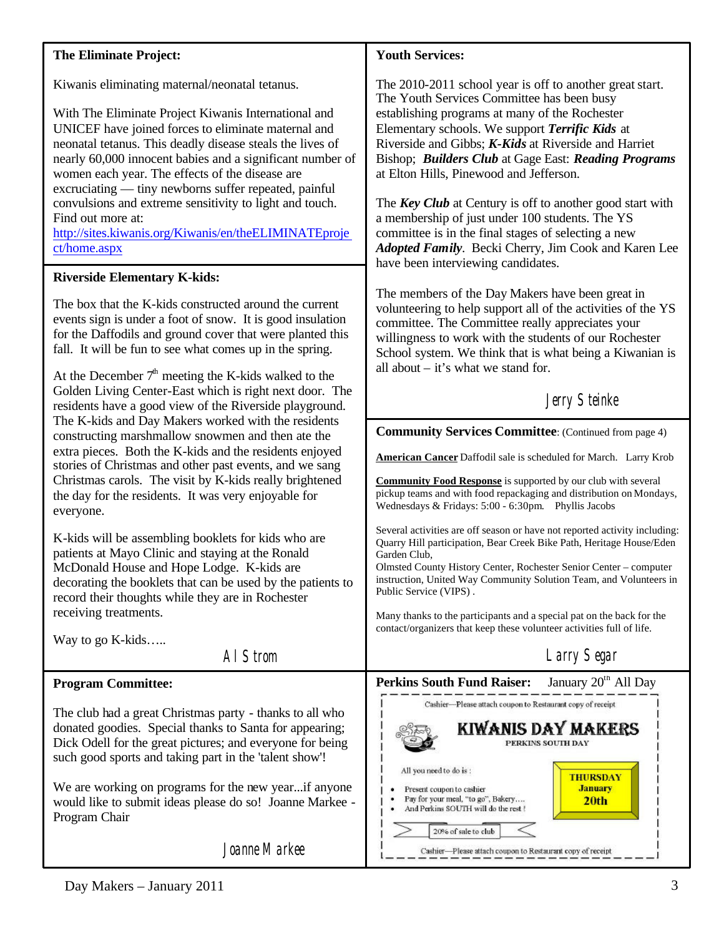### **The Eliminate Project:**

Kiwanis eliminating maternal/neonatal tetanus.

With The Eliminate Project Kiwanis International and UNICEF have joined forces to eliminate maternal and neonatal tetanus. This deadly disease steals the lives of nearly 60,000 innocent babies and a significant number of women each year. The effects of the disease are excruciating — tiny newborns suffer repeated, painful convulsions and extreme sensitivity to light and touch. Find out more at: <http://sites.kiwanis.org/Kiwanis/en/theELIMINATEproje>

**Riverside Elementary K-kids:**

ct/home.aspx

The box that the K-kids constructed around the current events sign is under a foot of snow. It is good insulation for the Daffodils and ground cover that were planted this fall. It will be fun to see what comes up in the spring.

At the December  $7<sup>th</sup>$  meeting the K-kids walked to the Golden Living Center-East which is right next door. The residents have a good view of the Riverside playground. The K-kids and Day Makers worked with the residents constructing marshmallow snowmen and then ate the extra pieces. Both the K-kids and the residents enjoyed stories of Christmas and other past events, and we sang Christmas carols. The visit by K-kids really brightened the day for the residents. It was very enjoyable for everyone.

K-kids will be assembling booklets for kids who are patients at Mayo Clinic and staying at the Ronald McDonald House and Hope Lodge. K-kids are decorating the booklets that can be used by the patients to record their thoughts while they are in Rochester receiving treatments.

Way to go K-kids…..

Al Strom

## **Program Committee:**

The club had a great Christmas party - thanks to all who donated goodies. Special thanks to Santa for appearing; Dick Odell for the great pictures; and everyone for being such good sports and taking part in the 'talent show'!

We are working on programs for the new year...if anyone would like to submit ideas please do so! Joanne Markee - Program Chair

Joanne Markee

### **Youth Services:**

The 2010-2011 school year is off to another great start. The Youth Services Committee has been busy establishing programs at many of the Rochester Elementary schools. We support *Terrific Kids* at Riverside and Gibbs; *K-Kids* at Riverside and Harriet Bishop; *Builders Club* at Gage East: *Reading Programs* at Elton Hills, Pinewood and Jefferson.

The *Key Club* at Century is off to another good start with a membership of just under 100 students. The YS committee is in the final stages of selecting a new *Adopted Family*. Becki Cherry, Jim Cook and Karen Lee have been interviewing candidates.

The members of the Day Makers have been great in volunteering to help support all of the activities of the YS committee. The Committee really appreciates your willingness to work with the students of our Rochester School system. We think that is what being a Kiwanian is all about – it's what we stand for.

# Jerry Steinke

**Community Services Committee:** (Continued from page 4)

**American Cancer** Daffodil sale is scheduled for March. Larry Krob

**Community Food Response** is supported by our club with several pickup teams and with food repackaging and distribution on Mondays, Wednesdays & Fridays: 5:00 - 6:30pm. Phyllis Jacobs

Several activities are off season or have not reported activity including: Quarry Hill participation, Bear Creek Bike Path, Heritage House/Eden Garden Club,

Olmsted County History Center, Rochester Senior Center – computer instruction, United Way Community Solution Team, and Volunteers in Public Service (VIPS) .

Many thanks to the participants and a special pat on the back for the contact/organizers that keep these volunteer activities full of life.